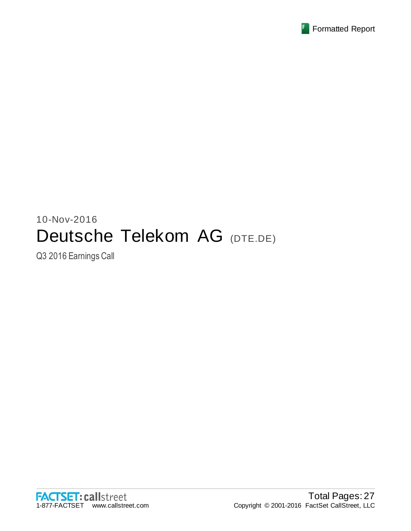

# 10-Nov-2016 Deutsche Telekom AG (DTE.DE)

Q3 2016 Earnings Call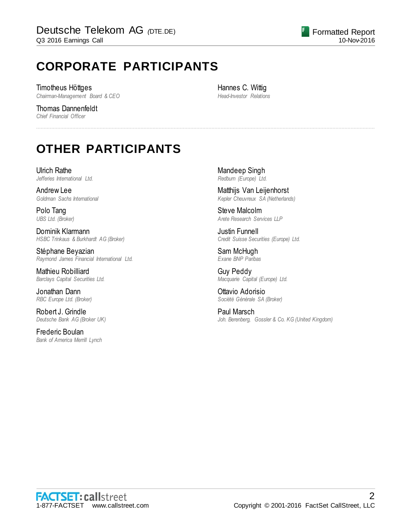# **CORPORATE PARTICIPANTS**

Timotheus Höttges *Chairman-Management Board & CEO*

Thomas Dannenfeldt *Chief Financial Officer*

Hannes C. Wittig *Head-Investor Relations*

................................................................................................................................................................................................................................

# **OTHER PARTICIPANTS**

Ulrich Rathe *Jefferies International Ltd.*

Andrew Lee *Goldman Sachs International*

Polo Tang *UBS Ltd. (Broker)*

Dominik Klarmann *HSBC Trinkaus & Burkhardt AG (Broker)*

Stéphane Beyazian *Raymond James Financial International Ltd.*

Mathieu Robilliard *Barclays Capital Securities Ltd.*

Jonathan Dann *RBC Europe Ltd. (Broker)*

Robert J. Grindle *Deutsche Bank AG (Broker UK)*

Frederic Boulan *Bank of America Merrill Lynch* Mandeep Singh *Redburn (Europe) Ltd.*

Matthijs Van Leijenhorst *Kepler Cheuvreux SA (Netherlands)*

Steve Malcolm *Arete Research Services LLP*

Justin Funnell *Credit Suisse Securities (Europe) Ltd.*

Sam McHugh *Exane BNP Paribas*

Guy Peddy *Macquarie Capital (Europe) Ltd.*

Ottavio Adorisio *Société Générale SA (Broker)*

Paul Marsch *Joh. Berenberg, Gossler & Co. KG (United Kingdom)*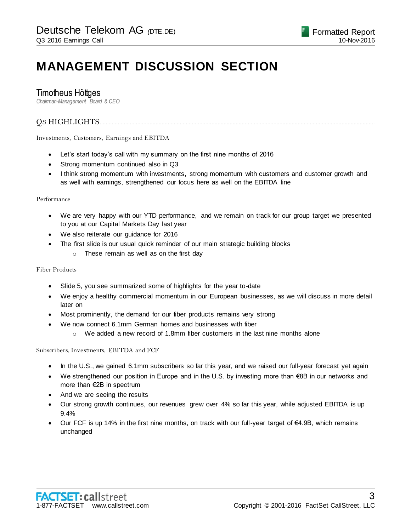# **MANAGEMENT DISCUSSION SECTION**

# Timotheus Höttges

*Chairman-Management Board & CEO*

# Q3 HIGHLIGHTS......................................................................................................................................................................................

Investments, Customers, Earnings and EBITDA

- Let's start today's call with my summary on the first nine months of 2016
- Strong momentum continued also in Q3
- I think strong momentum with investments, strong momentum with customers and customer growth and as well with earnings, strengthened our focus here as well on the EBITDA line

### Performance

- We are very happy with our YTD performance, and we remain on track for our group target we presented to you at our Capital Markets Day last year
- We also reiterate our guidance for 2016
- The first slide is our usual quick reminder of our main strategic building blocks
	- o These remain as well as on the first day

### Fiber Products

- Slide 5, you see summarized some of highlights for the year to-date
- We enjoy a healthy commercial momentum in our European businesses, as we will discuss in more detail later on
- Most prominently, the demand for our fiber products remains very strong
- We now connect 6.1mm German homes and businesses with fiber
	- $\circ$  We added a new record of 1.8mm fiber customers in the last nine months alone

Subscribers, Investments, EBITDA and FCF

- In the U.S., we gained 6.1mm subscribers so far this year, and we raised our full-year forecast yet again
- We strengthened our position in Europe and in the U.S. by investing more than €8B in our networks and more than €2B in spectrum
- And we are seeing the results
- Our strong growth continues, our revenues grew over 4% so far this year, while adjusted EBITDA is up 9.4%
- Our FCF is up 14% in the first nine months, on track with our full-year target of  $\epsilon$ 4.9B, which remains unchanged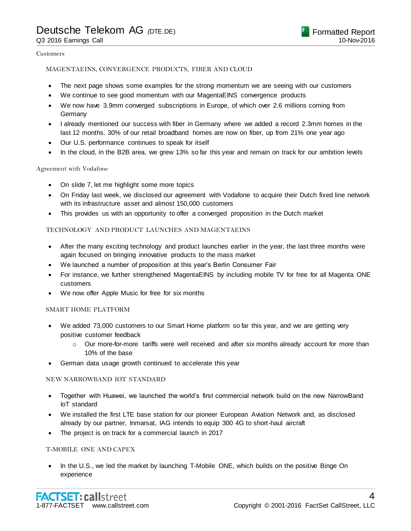#### Customers

### MAGENTAEINS, CONVERGENCE PRODUCTS, FIBER AND CLOUD

- The next page shows some examples for the strong momentum we are seeing with our customers
- We continue to see good momentum with our MagentaEINS convergence products
- We now have 3.9mm converged subscriptions in Europe, of which over 2.6 millions coming from **Germany**
- I already mentioned our success with fiber in Germany where we added a record 2.3mm homes in the last 12 months. 30% of our retail broadband homes are now on fiber, up from 21% one year ago
- Our U.S. performance continues to speak for itself
- In the cloud, in the B2B area, we grew 13% so far this year and remain on track for our ambition levels

### Agreement with Vodafone

- On slide 7, let me highlight some more topics
- On Friday last week, we disclosed our agreement with Vodafone to acquire their Dutch fixed line network with its infrastructure asset and almost 150,000 customers
- This provides us with an opportunity to offer a converged proposition in the Dutch market

### TECHNOLOGY AND PRODUCT LAUNCHES AND MAGENTAEINS

- After the many exciting technology and product launches earlier in the year, the last three months were again focused on bringing innovative products to the mass market
- We launched a number of proposition at this year's Berlin Consumer Fair
- For instance, we further strengthened MagentaEINS by including mobile TV for free for all Magenta ONE customers
- We now offer Apple Music for free for six months

### SMART HOME PLATFORM

- We added 73,000 customers to our Smart Home platform so far this year, and we are getting very positive customer feedback
	- $\circ$  Our more-for-more tariffs were well received and after six months already account for more than 10% of the base
- German data usage growth continued to accelerate this year

### NEW NARROWBAND IOT STANDARD

- Together with Huawei, we launched the world's first commercial network build on the new NarrowBand IoT standard
- We installed the first LTE base station for our pioneer European Aviation Network and, as disclosed already by our partner, Inmarsat, IAG intends to equip 300 4G to short-haul aircraft
- The project is on track for a commercial launch in 2017

### T-MOBILE ONE AND CAPEX

 In the U.S., we led the market by launching T-Mobile ONE, which builds on the positive Binge On experience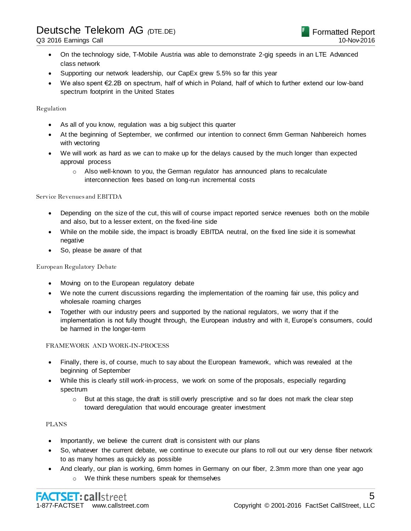- On the technology side, T-Mobile Austria was able to demonstrate 2-gig speeds in an LTE Advanced class network
- Supporting our network leadership, our CapEx grew 5.5% so far this year
- We also spent €2.2B on spectrum, half of which in Poland, half of which to further extend our low-band spectrum footprint in the United States

Regulation

- As all of you know, regulation was a big subject this quarter
- At the beginning of September, we confirmed our intention to connect 6mm German Nahbereich homes with vectoring
- We will work as hard as we can to make up for the delays caused by the much longer than expected approval process
	- $\circ$  Also well-known to you, the German regulator has announced plans to recalculate interconnection fees based on long-run incremental costs

### Service Revenues and EBITDA

- Depending on the size of the cut, this will of course impact reported service revenues both on the mobile and also, but to a lesser extent, on the fixed-line side
- While on the mobile side, the impact is broadly EBITDA neutral, on the fixed line side it is somewhat negative
- So, please be aware of that

### European Regulatory Debate

- Moving on to the European regulatory debate
- We note the current discussions regarding the implementation of the roaming fair use, this policy and wholesale roaming charges
- Together with our industry peers and supported by the national regulators, we worry that if the implementation is not fully thought through, the European industry and with it, Europe's consumers, could be harmed in the longer-term

### FRAMEWORK AND WORK-IN-PROCESS

- Finally, there is, of course, much to say about the European framework, which was revealed at t he beginning of September
- While this is clearly still work-in-process, we work on some of the proposals, especially regarding spectrum
	- $\circ$  But at this stage, the draft is still overly prescriptive and so far does not mark the clear step toward deregulation that would encourage greater investment

### PLANS

- Importantly, we believe the current draft is consistent with our plans
- So, whatever the current debate, we continue to execute our plans to roll out our very dense fiber network to as many homes as quickly as possible
- And clearly, our plan is working, 6mm homes in Germany on our fiber, 2.3mm more than one year ago o We think these numbers speak for themselves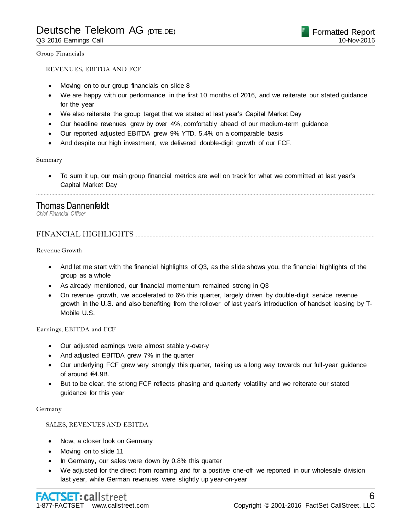Group Financials

### REVENUES, EBITDA AND FCF

- Moving on to our group financials on slide 8
- We are happy with our performance in the first 10 months of 2016, and we reiterate our stated guidance for the year
- We also reiterate the group target that we stated at last year's Capital Market Day
- Our headline revenues grew by over 4%, comfortably ahead of our medium-term guidance
- Our reported adjusted EBITDA grew 9% YTD, 5.4% on a comparable basis
- And despite our high investment, we delivered double-digit growth of our FCF.

Summary

 To sum it up, our main group financial metrics are well on track for what we committed at last year's Capital Market Day

................................................................................................................................................................................................................................

### Thomas Dannenfeldt

*Chief Financial Officer*

### FINANCIAL HIGHLIGHTS

Revenue Growth

- And let me start with the financial highlights of Q3, as the slide shows you, the financial highlights of the group as a whole
- As already mentioned, our financial momentum remained strong in Q3
- On revenue growth, we accelerated to 6% this quarter, largely driven by double-digit service revenue growth in the U.S. and also benefiting from the rollover of last year's introduction of handset leasing by T-Mobile U.S.

Earnings, EBITDA and FCF

- Our adjusted earnings were almost stable y-over-y
- And adjusted EBITDA grew 7% in the quarter
- Our underlying FCF grew very strongly this quarter, taking us a long way towards our full-year guidance of around €4.9B.
- But to be clear, the strong FCF reflects phasing and quarterly volatility and we reiterate our stated guidance for this year

#### Germany

### SALES, REVENUES AND EBITDA

- Now, a closer look on Germany
- Moving on to slide 11
- In Germany, our sales were down by 0.8% this quarter
- We adjusted for the direct from roaming and for a positive one-off we reported in our wholesale division last year, while German revenues were slightly up year-on-year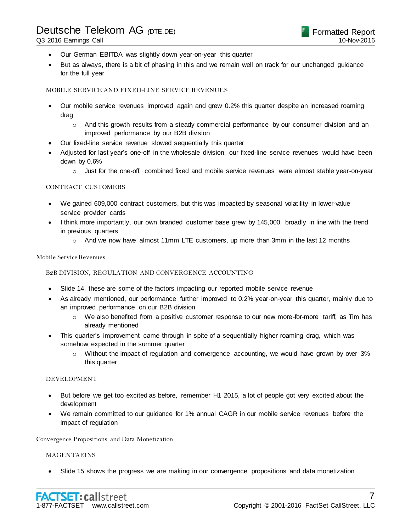- Our German EBITDA was slightly down year-on-year this quarter
- But as always, there is a bit of phasing in this and we remain well on track for our unchanged guidance for the full year

### MOBILE SERVICE AND FIXED-LINE SERVICE REVENUES

- Our mobile service revenues improved again and grew 0.2% this quarter despite an increased roaming drag
	- o And this growth results from a steady commercial performance by our consumer division and an improved performance by our B2B division
- Our fixed-line service revenue slowed sequentially this quarter
- Adjusted for last year's one-off in the wholesale division, our fixed-line service revenues would have been down by 0.6%
	- $\circ$  Just for the one-off, combined fixed and mobile service revenues were almost stable year-on-year

### CONTRACT CUSTOMERS

- We gained 609,000 contract customers, but this was impacted by seasonal volatility in lower-value service provider cards
- I think more importantly, our own branded customer base grew by 145,000, broadly in line with the trend in previous quarters
	- $\circ$  And we now have almost 11mm LTE customers, up more than 3mm in the last 12 months

#### Mobile Service Revenues

### B2B DIVISION, REGULATION AND CONVERGENCE ACCOUNTING

- Slide 14, these are some of the factors impacting our reported mobile service revenue
- As already mentioned, our performance further improved to 0.2% year-on-year this quarter, mainly due to an improved performance on our B2B division
	- o We also benefited from a positive customer response to our new more-for-more tariff, as Tim has already mentioned
- This quarter's improvement came through in spite of a sequentially higher roaming drag, which was somehow expected in the summer quarter
	- o Without the impact of regulation and convergence accounting, we would have grown by over 3% this quarter

#### DEVELOPMENT

- But before we get too excited as before, remember H1 2015, a lot of people got very excited about the development
- We remain committed to our guidance for 1% annual CAGR in our mobile service revenues before the impact of regulation

Convergence Propositions and Data Monetization

#### MAGENTAEINS

Slide 15 shows the progress we are making in our convergence propositions and data monetization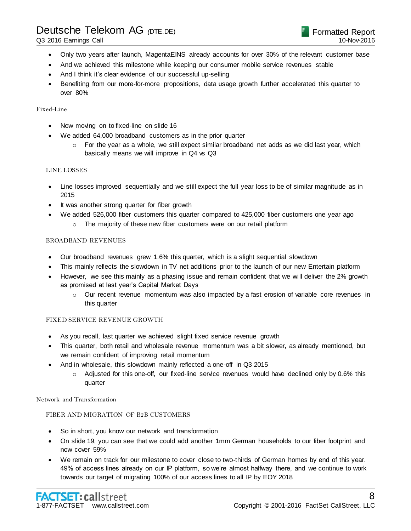- Q3 2016 Earnings Call
	- Only two years after launch, MagentaEINS already accounts for over 30% of the relevant customer base
	- And we achieved this milestone while keeping our consumer mobile service revenues stable
	- And I think it's clear evidence of our successful up-selling
	- Benefiting from our more-for-more propositions, data usage growth further accelerated this quarter to over 80%

### Fixed-Line

- Now moving on to fixed-line on slide 16
- We added 64,000 broadband customers as in the prior quarter
	- $\circ$  For the year as a whole, we still expect similar broadband net adds as we did last year, which basically means we will improve in Q4 vs Q3

### LINE LOSSES

- Line losses improved sequentially and we still expect the full year loss to be of similar magnitude as in 2015
- It was another strong quarter for fiber growth
- We added 526,000 fiber customers this quarter compared to 425,000 fiber customers one year ago
	- o The majority of these new fiber customers were on our retail platform

### BROADBAND REVENUES

- Our broadband revenues grew 1.6% this quarter, which is a slight sequential slowdown
- This mainly reflects the slowdown in TV net additions prior to the launch of our new Entertain platform
- However, we see this mainly as a phasing issue and remain confident that we will deliver the 2% growth as promised at last year's Capital Market Days
	- $\circ$  Our recent revenue momentum was also impacted by a fast erosion of variable core revenues in this quarter

### FIXED SERVICE REVENUE GROWTH

- As you recall, last quarter we achieved slight fixed service revenue growth
- This quarter, both retail and wholesale revenue momentum was a bit slower, as already mentioned, but we remain confident of improving retail momentum
- And in wholesale, this slowdown mainly reflected a one-off in Q3 2015
	- o Adjusted for this one-off, our fixed-line service revenues would have declined only by 0.6% this quarter

### Network and Transformation

### FIBER AND MIGRATION OF B2B CUSTOMERS

- So in short, you know our network and transformation
- On slide 19, you can see that we could add another 1mm German households to our fiber footprint and now cover 59%
- We remain on track for our milestone to cover close to two-thirds of German homes by end of this year. 49% of access lines already on our IP platform, so we're almost halfway there, and we continue to work towards our target of migrating 100% of our access lines to all IP by EOY 2018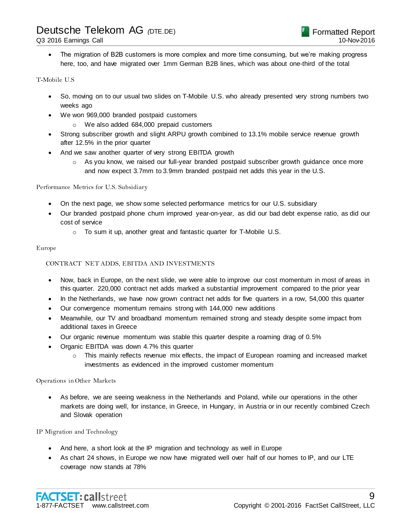Q3 2016 Earnings Call

 The migration of B2B customers is more complex and more time consuming, but we're making progress here, too, and have migrated over 1mm German B2B lines, which was about one-third of the total

### T-Mobile U.S

- So, moving on to our usual two slides on T-Mobile U.S. who already presented very strong numbers two weeks ago
- We won 969,000 branded postpaid customers
	- o We also added 684,000 prepaid customers
- Strong subscriber growth and slight ARPU growth combined to 13.1% mobile service revenue growth after 12.5% in the prior quarter
- And we saw another quarter of very strong EBITDA growth
	- $\circ$  As you know, we raised our full-year branded postpaid subscriber growth guidance once more and now expect 3.7mm to 3.9mm branded postpaid net adds this year in the U.S.

### Performance Metrics for U.S. Subsidiary

- On the next page, we show some selected performance metrics for our U.S. subsidiary
- Our branded postpaid phone churn improved year-on-year, as did our bad debt expense ratio, as did our cost of service
	- o To sum it up, another great and fantastic quarter for T-Mobile U.S.

### Europe

### CONTRACT NET ADDS, EBITDA AND INVESTMENTS

- Now, back in Europe, on the next slide, we were able to improve our cost momentum in most of areas in this quarter. 220,000 contract net adds marked a substantial improvement compared to the prior year
- In the Netherlands, we have now grown contract net adds for five quarters in a row, 54,000 this quarter
- Our convergence momentum remains strong with 144,000 new additions
- Meanwhile, our TV and broadband momentum remained strong and steady despite some impact from additional taxes in Greece
- Our organic revenue momentum was stable this quarter despite a roaming drag of 0.5%
- Organic EBITDA was down 4.7% this quarter
	- $\circ$  This mainly reflects revenue mix effects, the impact of European roaming and increased market investments as evidenced in the improved customer momentum

### Operations in Other Markets

 As before, we are seeing weakness in the Netherlands and Poland, while our operations in the other markets are doing well, for instance, in Greece, in Hungary, in Austria or in our recently combined Czech and Slovak operation

### IP Migration and Technology

- And here, a short look at the IP migration and technology as well in Europe
- As chart 24 shows, in Europe we now have migrated well over half of our homes to IP, and our LTE coverage now stands at 78%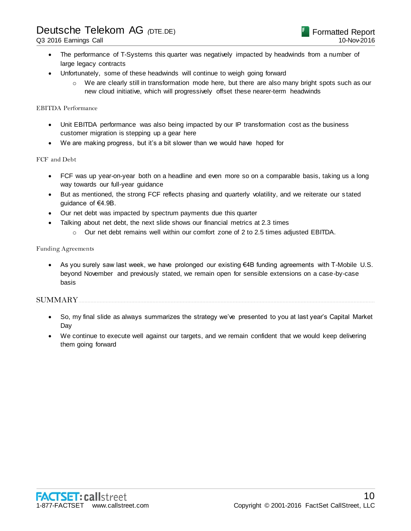- The performance of T-Systems this quarter was negatively impacted by headwinds from a number of large legacy contracts
- Unfortunately, some of these headwinds will continue to weigh going forward
	- $\circ$  We are clearly still in transformation mode here, but there are also many bright spots such as our new cloud initiative, which will progressively offset these nearer-term headwinds

### EBITDA Performance

- Unit EBITDA performance was also being impacted by our IP transformation cost as the business customer migration is stepping up a gear here
- We are making progress, but it's a bit slower than we would have hoped for

### FCF and Debt

- FCF was up year-on-year both on a headline and even more so on a comparable basis, taking us a long way towards our full-year guidance
- But as mentioned, the strong FCF reflects phasing and quarterly volatility, and we reiterate our s tated guidance of €4.9B.
- Our net debt was impacted by spectrum payments due this quarter
- Talking about net debt, the next slide shows our financial metrics at 2.3 times
	- $\circ$  Our net debt remains well within our comfort zone of 2 to 2.5 times adjusted EBITDA.

### Funding Agreements

 As you surely saw last week, we have prolonged our existing €4B funding agreements with T-Mobile U.S. beyond November and previously stated, we remain open for sensible extensions on a case-by-case basis

### SUMMARY....................................................................................................................................................................................................

- So, my final slide as always summarizes the strategy we've presented to you at last year's Capital Market Day
- We continue to execute well against our targets, and we remain confident that we would keep delivering them going forward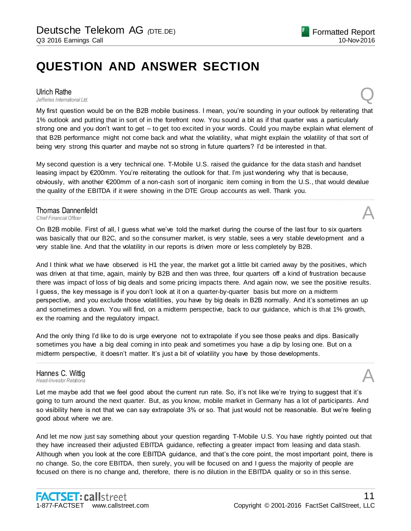# **QUESTION AND ANSWER SECTION**

# **Ulrich Rathe**<br>Jefferies International Ltd.

*Jefferies International Ltd.* Q

My first question would be on the B2B mobile business. I mean, you're sounding in your outlook by reiterating that 1% outlook and putting that in sort of in the forefront now. You sound a bit as if that quarter was a particularly strong one and you don't want to get – to get too excited in your words. Could you maybe explain what element of that B2B performance might not come back and what the volatility, what might explain the volatility of that sort of being very strong this quarter and maybe not so strong in future quarters? I'd be interested in that.

My second question is a very technical one. T-Mobile U.S. raised the guidance for the data stash and handset leasing impact by €200mm. You're reiterating the outlook for that. I'm just wondering why that is because, obviously, with another €200mm of a non-cash sort of inorganic item coming in from the U.S., that would devalue the quality of the EBITDA if it were showing in the DTE Group accounts as well. Thank you.

................................................................................................................................................................................................................................

# **Thomas Dannenfeldt**<br>Chief Financial Officer **Thomas Dannenfeldt**<br>
Chief Financial Officer<br> **A**

On B2B mobile. First of all, I guess what we've told the market during the course of the last four to six quarters was basically that our B2C, and so the consumer market, is very stable, sees a very stable development and a very stable line. And that the volatility in our reports is driven more or less completely by B2B.

And I think what we have observed is H1 the year, the market got a little bit carried away by the positives, which was driven at that time, again, mainly by B2B and then was three, four quarters off a kind of frustration because there was impact of loss of big deals and some pricing impacts there. And again now, we see the positive results. I guess, the key message is if you don't look at it on a quarter-by-quarter basis but more on a midterm perspective, and you exclude those volatilities, you have by big deals in B2B normally. And it's sometimes an up and sometimes a down. You will find, on a midterm perspective, back to our guidance, which is that 1% growth, ex the roaming and the regulatory impact.

And the only thing I'd like to do is urge everyone not to extrapolate if you see those peaks and dips. Basically sometimes you have a big deal coming in into peak and sometimes you have a dip by losing one. But on a midterm perspective, it doesn't matter. It's just a bit of volatility you have by those developments.

# Hannes C. Wittig *Head-Investor Relations* A

Let me maybe add that we feel good about the current run rate. So, it's not like we're trying to suggest that it's going to turn around the next quarter. But, as you know, mobile market in Germany has a lot of participants. And so visibility here is not that we can say extrapolate 3% or so. That just would not be reasonable. But we're feeling good about where we are.

................................................................................................................................................................................................................................

And let me now just say something about your question regarding T-Mobile U.S. You have rightly pointed out that they have increased their adjusted EBITDA guidance, reflecting a greater impact from leasing and data stash. Although when you look at the core EBITDA guidance, and that's the core point, the most important point, there is no change. So, the core EBITDA, then surely, you will be focused on and I guess the majority of people are focused on there is no change and, therefore, there is no dilution in the EBITDA quality or so in this sense.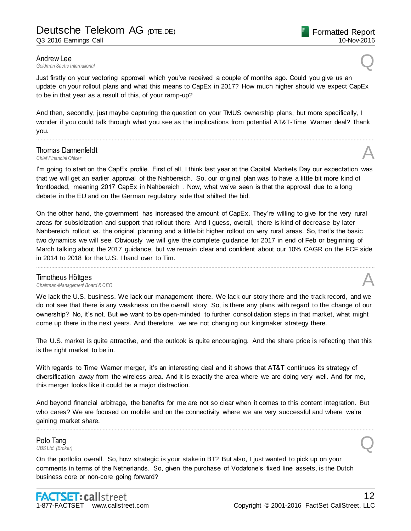**Andrew Lee**<br>Goldman Sachs International *Goldman Sachs International* Q

Just firstly on your vectoring approval which you've received a couple of months ago. Could you give us an update on your rollout plans and what this means to CapEx in 2017? How much higher should we expect CapEx to be in that year as a result of this, of your ramp-up?

And then, secondly, just maybe capturing the question on your TMUS ownership plans, but more specifically, I wonder if you could talk through what you see as the implications from potential AT&T-Time Warner deal? Thank you.

................................................................................................................................................................................................................................

# **Thomas Dannenfeldt**<br>Chief Financial Officer **Thomas Dannenfeldt**<br>
Chief Financial Officer<br> **A**

I'm going to start on the CapEx profile. First of all, I think last year at the Capital Markets Day our expectation was that we will get an earlier approval of the Nahbereich. So, our original plan was to have a little bit more kind of frontloaded, meaning 2017 CapEx in Nahbereich . Now, what we've seen is that the approval due to a long debate in the EU and on the German regulatory side that shifted the bid.

On the other hand, the government has increased the amount of CapEx. They're willing to give for the very rural areas for subsidization and support that rollout there. And I guess, overall, there is kind of decrease by later Nahbereich rollout vs. the original planning and a little bit higher rollout on very rural areas. So, that's the basic two dynamics we will see. Obviously we will give the complete guidance for 2017 in end of Feb or beginning of March talking about the 2017 guidance, but we remain clear and confident about our 10% CAGR on the FCF side in 2014 to 2018 for the U.S. I hand over to Tim.

................................................................................................................................................................................................................................

### Timotheus Höttges

*Chairman-Management Board & CEO* A

We lack the U.S. business. We lack our management there. We lack our story there and the track record, and we do not see that there is any weakness on the overall story. So, is there any plans with regard to the change of our ownership? No, it's not. But we want to be open-minded to further consolidation steps in that market, what might come up there in the next years. And therefore, we are not changing our kingmaker strategy there.

The U.S. market is quite attractive, and the outlook is quite encouraging. And the share price is reflecting that this is the right market to be in.

With regards to Time Warner merger, it's an interesting deal and it shows that AT&T continues its strategy of diversification away from the wireless area. And it is exactly the area where we are doing very well. And for me, this merger looks like it could be a major distraction.

And beyond financial arbitrage, the benefits for me are not so clear when it comes to this content integration. But who cares? We are focused on mobile and on the connectivity where we are very successful and where we're gaining market share.

................................................................................................................................................................................................................................

# Polo Tang **Polo Tang**<br>UBS Ltd. (Broker)

On the portfolio overall. So, how strategic is your stake in BT? But also, I just wanted to pick up on your comments in terms of the Netherlands. So, given the purchase of Vodafone's fixed line assets, is the Dutch business core or non-core going forward?



10-Nov-2016

Formatted Report

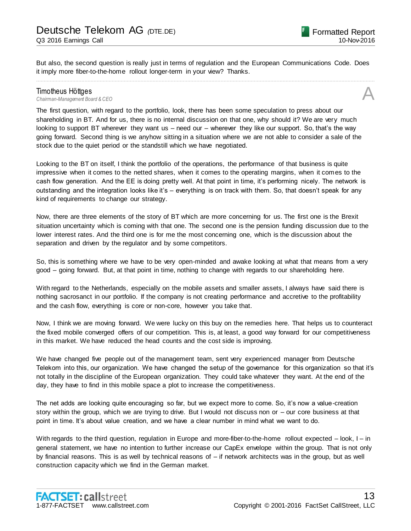But also, the second question is really just in terms of regulation and the European Communications Code. Does it imply more fiber-to-the-home rollout longer-term in your view? Thanks. ................................................................................................................................................................................................................................

# **Timotheus Höttges**<br>Chairman-Management Board & CEO *Chairman-Management Board & CEO* A

The first question, with regard to the portfolio, look, there has been some speculation to press about our shareholding in BT. And for us, there is no internal discussion on that one, why should it? We are very much looking to support BT wherever they want us – need our – wherever they like our support. So, that's the way going forward. Second thing is we anyhow sitting in a situation where we are not able to consider a sale of the stock due to the quiet period or the standstill which we have negotiated.

Looking to the BT on itself, I think the portfolio of the operations, the performance of that business is quite impressive when it comes to the netted shares, when it comes to the operating margins, when it comes to the cash flow generation. And the EE is doing pretty well. At that point in time, it's performing nicely. The network is outstanding and the integration looks like it's – everything is on track with them. So, that doesn't speak for any kind of requirements to change our strategy.

Now, there are three elements of the story of BT which are more concerning for us. The first one is the Brexit situation uncertainty which is coming with that one. The second one is the pension funding discussion due to the lower interest rates. And the third one is for me the most concerning one, which is the discussion about the separation and driven by the regulator and by some competitors.

So, this is something where we have to be very open-minded and awake looking at what that means from a very good – going forward. But, at that point in time, nothing to change with regards to our shareholding here.

With regard to the Netherlands, especially on the mobile assets and smaller assets, I always have said there is nothing sacrosanct in our portfolio. If the company is not creating performance and accretive to the profitability and the cash flow, everything is core or non-core, however you take that.

Now, I think we are moving forward. We were lucky on this buy on the remedies here. That helps us to counteract the fixed mobile converged offers of our competition. This is, at least, a good way forward for our competitiveness in this market. We have reduced the head counts and the cost side is improving.

We have changed five people out of the management team, sent very experienced manager from Deutsche Telekom into this, our organization. We have changed the setup of the governance for this organization so that it's not totally in the discipline of the European organization. They could take whatever they want. At the end of the day, they have to find in this mobile space a plot to increase the competitiveness.

The net adds are looking quite encouraging so far, but we expect more to come. So, it's now a value-creation story within the group, which we are trying to drive. But I would not discuss non or – our core business at that point in time. It's about value creation, and we have a clear number in mind what we want to do.

With regards to the third question, regulation in Europe and more-fiber-to-the-home rollout expected – look, I – in general statement, we have no intention to further increase our CapEx envelope within the group. That is not only by financial reasons. This is as well by technical reasons of – if network architects was in the group, but as well construction capacity which we find in the German market.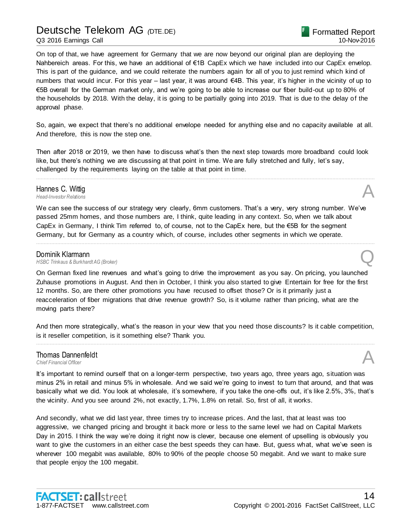On top of that, we have agreement for Germany that we are now beyond our original plan are deploying the Nahbereich areas. For this, we have an additional of €1B CapEx which we have included into our CapEx envelop. This is part of the guidance, and we could reiterate the numbers again for all of you to just remind which kind of numbers that would incur. For this year – last year, it was around €4B. This year, it's higher in the vicinity of up to €5B overall for the German market only, and we're going to be able to increase our fiber build-out up to 80% of the households by 2018. With the delay, it is going to be partially going into 2019. That is due to the delay of the approval phase.

So, again, we expect that there's no additional envelope needed for anything else and no capacity available at all. And therefore, this is now the step one.

Then after 2018 or 2019, we then have to discuss what's then the next step towards more broadband could look like, but there's nothing we are discussing at that point in time. We are fully stretched and fully, let's say, challenged by the requirements laying on the table at that point in time.

................................................................................................................................................................................................................................

# Hannes C. Wittig<br>Head-Investor Relations *Head-Investor Relations* A

We can see the success of our strategy very clearly, 6mm customers. That's a very, very strong number. We've passed 25mm homes, and those numbers are, I think, quite leading in any context. So, when we talk about CapEx in Germany, I think Tim referred to, of course, not to the CapEx here, but the €5B for the segment Germany, but for Germany as a country which, of course, includes other segments in which we operate.

................................................................................................................................................................................................................................

**Dominik Klarmann**<br>HSBC Trinkaus & Burkhardt AG (Broker) *HSBC Trinkaus & Burkhardt AG (Broker)* Q

On German fixed line revenues and what's going to drive the improvement as you say. On pricing, you launched Zuhause promotions in August. And then in October, I think you also started to give Entertain for free for the first 12 months. So, are there other promotions you have recused to offset those? Or is it primarily just a reacceleration of fiber migrations that drive revenue growth? So, is it volume rather than pricing, what are the moving parts there?

And then more strategically, what's the reason in your view that you need those discounts? Is it cable competition, is it reseller competition, is it something else? Thank you. ................................................................................................................................................................................................................................

# Thomas Dannenfeldt **Thomas Dannenfeldt**<br>
Chief Financial Officer<br> **A**

It's important to remind ourself that on a longer-term perspective, two years ago, three years ago, situation was minus 2% in retail and minus 5% in wholesale. And we said we're going to invest to turn that around, and that was basically what we did. You look at wholesale, it's somewhere, if you take the one-offs out, it's like 2.5%, 3%, that's the vicinity. And you see around 2%, not exactly, 1.7%, 1.8% on retail. So, first of all, it works.

And secondly, what we did last year, three times try to increase prices. And the last, that at least was too aggressive, we changed pricing and brought it back more or less to the same level we had on Capital Markets Day in 2015. I think the way we're doing it right now is clever, because one element of upselling is obviously you want to give the customers in an either case the best speeds they can have. But, guess what, what we've seen is wherever 100 megabit was available, 80% to 90% of the people choose 50 megabit. And we want to make sure that people enjoy the 100 megabit.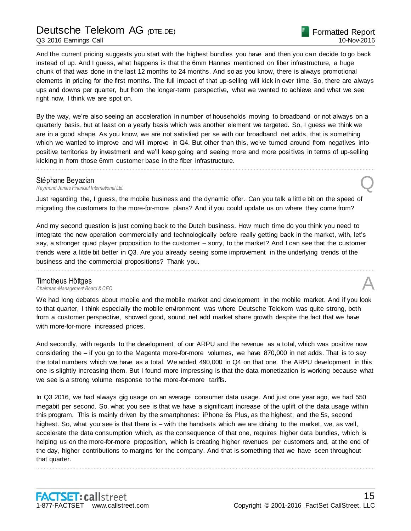Q3 2016 Earnings Call

And the current pricing suggests you start with the highest bundles you have and then you can decide to go back instead of up. And I guess, what happens is that the 6mm Hannes mentioned on fiber infrastructure, a huge chunk of that was done in the last 12 months to 24 months. And so as you know, there is always promotional elements in pricing for the first months. The full impact of that up-selling will kick in over time. So, there are always ups and downs per quarter, but from the longer-term perspective, what we wanted to achieve and what we see right now, I think we are spot on.

By the way, we're also seeing an acceleration in number of households moving to broadband or not always on a quarterly basis, but at least on a yearly basis which was another element we targeted. So, I guess we think we are in a good shape. As you know, we are not satisfied per se with our broadband net adds, that is something which we wanted to improve and will improve in Q4. But other than this, we've turned around from negatives into positive territories by investment and we'll keep going and seeing more and more positives in terms of up-selling kicking in from those 6mm customer base in the fiber infrastructure.

................................................................................................................................................................................................................................

Stéphane Beyazian<br>Raymond James Financial International Ltd. *Raymond James Financial International Ltd.* Q

Just regarding the, I guess, the mobile business and the dynamic offer. Can you talk a little bit on the speed of migrating the customers to the more-for-more plans? And if you could update us on where they come from?

And my second question is just coming back to the Dutch business. How much time do you think you need to integrate the new operation commercially and technologically before really getting back in the market, with, let's say, a stronger quad player proposition to the customer – sorry, to the market? And I can see that the customer trends were a little bit better in Q3. Are you already seeing some improvement in the underlying trends of the business and the commercial propositions? Thank you.

................................................................................................................................................................................................................................

### Timotheus Höttges

*Chairman-Management Board & CEO* A

We had long debates about mobile and the mobile market and development in the mobile market. And if you look to that quarter, I think especially the mobile environment was where Deutsche Telekom was quite strong, both from a customer perspective, showed good, sound net add market share growth despite the fact that we have with more-for-more increased prices.

And secondly, with regards to the development of our ARPU and the revenue as a total, which was positive now considering the – if you go to the Magenta more-for-more volumes, we have 870,000 in net adds. That is to say the total numbers which we have as a total. We added 490,000 in Q4 on that one. The ARPU development in this one is slightly increasing them. But I found more impressing is that the data monetization is working because what we see is a strong volume response to the more-for-more tariffs.

In Q3 2016, we had always gig usage on an average consumer data usage. And just one year ago, we had 550 megabit per second. So, what you see is that we have a significant increase of the uplift of the data usage within this program. This is mainly driven by the smartphones: iPhone 6s Plus, as the highest; and the 5s, second highest. So, what you see is that there is – with the handsets which we are driving to the market, we, as well, accelerate the data consumption which, as the consequence of that one, requires higher data bundles, which is helping us on the more-for-more proposition, which is creating higher revenues per customers and, at the end of the day, higher contributions to margins for the company. And that is something that we have seen throughout that quarter.

................................................................................................................................................................................................................................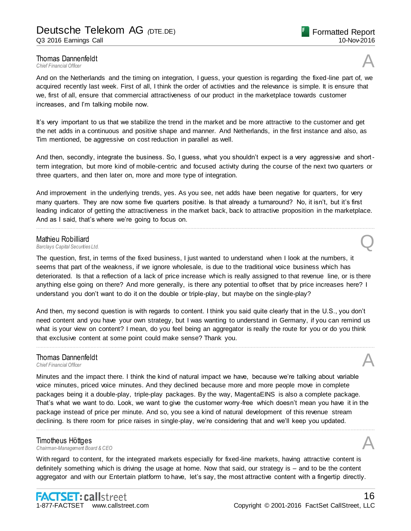# **Thomas Dannenfeldt**<br>Chief Financial Officer **Thomas Dannenfeldt**<br>
Chief Financial Officer<br> **A**

And on the Netherlands and the timing on integration, I guess, your question is regarding the fixed-line part of, we acquired recently last week. First of all, I think the order of activities and the relevance is simple. It is ensure that we, first of all, ensure that commercial attractiveness of our product in the marketplace towards customer increases, and I'm talking mobile now.

It's very important to us that we stabilize the trend in the market and be more attractive to the customer and get the net adds in a continuous and positive shape and manner. And Netherlands, in the first instance and also, as Tim mentioned, be aggressive on cost reduction in parallel as well.

And then, secondly, integrate the business. So, I guess, what you shouldn't expect is a very aggressive and shortterm integration, but more kind of mobile-centric and focused activity during the course of the next two quarters or three quarters, and then later on, more and more type of integration.

And improvement in the underlying trends, yes. As you see, net adds have been negative for quarters, for very many quarters. They are now some five quarters positive. Is that already a turnaround? No, it isn't, but it's first leading indicator of getting the attractiveness in the market back, back to attractive proposition in the marketplace. And as I said, that's where we're going to focus on.

................................................................................................................................................................................................................................

# **Mathieu Robilliard**<br>Barclays Capital Securities Ltd. *Barclays Capital Securities Ltd.* Q

The question, first, in terms of the fixed business, I just wanted to understand when I look at the numbers, it seems that part of the weakness, if we ignore wholesale, is due to the traditional voice business which has deteriorated. Is that a reflection of a lack of price increase which is really assigned to that revenue line, or is there anything else going on there? And more generally, is there any potential to offset that by price increases here? I understand you don't want to do it on the double or triple-play, but maybe on the single-play?

And then, my second question is with regards to content. I think you said quite clearly that in the U.S., you don't need content and you have your own strategy, but I was wanting to understand in Germany, if you can remind us what is your view on content? I mean, do you feel being an aggregator is really the route for you or do you think that exclusive content at some point could make sense? Thank you.

................................................................................................................................................................................................................................

# Thomas Dannenfeldt<br>Chief Financial Officer **Thomas Dannenfeldt**<br>
Chief Financial Officer<br> **A**

Minutes and the impact there. I think the kind of natural impact we have, because we're talking about variable voice minutes, priced voice minutes. And they declined because more and more people move in complete packages being it a double-play, triple-play packages. By the way, MagentaEINS is also a complete package. That's what we want to do. Look, we want to give the customer worry-free which doesn't mean you have it in the package instead of price per minute. And so, you see a kind of natural development of this revenue stream declining. Is there room for price raises in single-play, we're considering that and we'll keep you updated.

................................................................................................................................................................................................................................

# Timotheus Höttges *Chairman-Management Board & CEO* A

With regard to content, for the integrated markets especially for fixed-line markets, having attractive content is definitely something which is driving the usage at home. Now that said, our strategy is – and to be the content aggregator and with our Entertain platform to have, let's say, the most attractive content with a fingertip directly.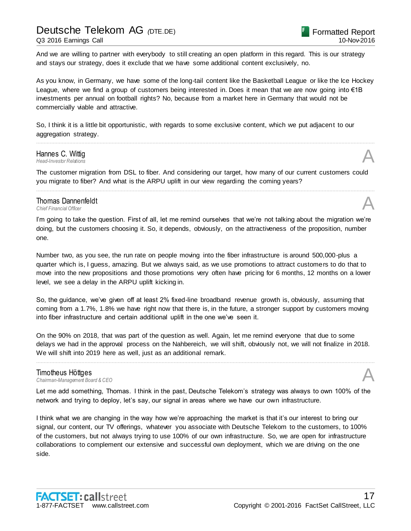And we are willing to partner with everybody to still creating an open platform in this regard. This is our strategy and stays our strategy, does it exclude that we have some additional content exclusively, no.

As you know, in Germany, we have some of the long-tail content like the Basketball League or like the Ice Hockey League, where we find a group of customers being interested in. Does it mean that we are now going into €1B investments per annual on football rights? No, because from a market here in Germany that would not be commercially viable and attractive.

So, I think it is a little bit opportunistic, with regards to some exclusive content, which we put adjacent to our aggregation strategy.

# Hannes C. Wittig<br>Head-Investor Relations *Head-Investor Relations* A

The customer migration from DSL to fiber. And considering our target, how many of our current customers could you migrate to fiber? And what is the ARPU uplift in our view regarding the coming years?

................................................................................................................................................................................................................................

................................................................................................................................................................................................................................

# Thomas Dannenfeldt **Thomas Dannenfeldt**<br>
Chief Financial Officer<br> **A**

I'm going to take the question. First of all, let me remind ourselves that we're not talking about the migration we're doing, but the customers choosing it. So, it depends, obviously, on the attractiveness of the proposition, number one.

Number two, as you see, the run rate on people moving into the fiber infrastructure is around 500,000-plus a quarter which is, I guess, amazing. But we always said, as we use promotions to attract customers to do that to move into the new propositions and those promotions very often have pricing for 6 months, 12 months on a lower level, we see a delay in the ARPU uplift kicking in.

So, the guidance, we've given off at least 2% fixed-line broadband revenue growth is, obviously, assuming that coming from a 1.7%, 1.8% we have right now that there is, in the future, a stronger support by customers moving into fiber infrastructure and certain additional uplift in the one we've seen it.

On the 90% on 2018, that was part of the question as well. Again, let me remind everyone that due to some delays we had in the approval process on the Nahbereich, we will shift, obviously not, we will not finalize in 2018. We will shift into 2019 here as well, just as an additional remark.

................................................................................................................................................................................................................................

### Timotheus Höttges

*Chairman-Management Board & CEO* A

Let me add something, Thomas. I think in the past, Deutsche Telekom's strategy was always to own 100% of the network and trying to deploy, let's say, our signal in areas where we have our own infrastructure.

I think what we are changing in the way how we're approaching the market is that it's our interest to bring our signal, our content, our TV offerings, whatever you associate with Deutsche Telekom to the customers, to 100% of the customers, but not always trying to use 100% of our own infrastructure. So, we are open for infrastructure collaborations to complement our extensive and successful own deployment, which we are driving on the one side.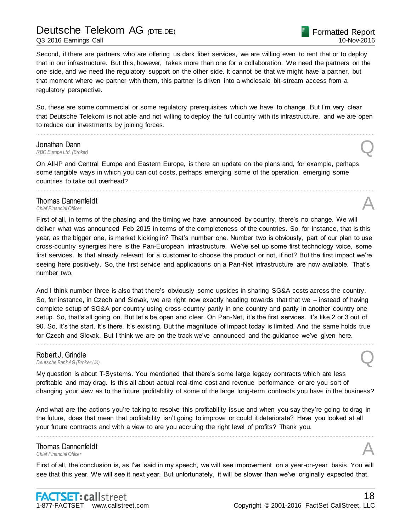Q3 2016 Earnings Call

Second, if there are partners who are offering us dark fiber services, we are willing even to rent that or to deploy that in our infrastructure. But this, however, takes more than one for a collaboration. We need the partners on the one side, and we need the regulatory support on the other side. It cannot be that we might have a partner, but that moment where we partner with them, this partner is driven into a wholesale bit-stream access from a regulatory perspective.

So, these are some commercial or some regulatory prerequisites which we have to change. But I'm very clear that Deutsche Telekom is not able and not willing to deploy the full country with its infrastructure, and we are open to reduce our investments by joining forces.

................................................................................................................................................................................................................................

# *RBC Europe Ltd. (Broker)*  $\qquad \qquad$

**Jonathan Dann**<br>RBC Europe Ltd. (Broker)

On All-IP and Central Europe and Eastern Europe, is there an update on the plans and, for example, perhaps some tangible ways in which you can cut costs, perhaps emerging some of the operation, emerging some countries to take out overhead?

................................................................................................................................................................................................................................

# Thomas Dannenfeldt **Thomas Dannenfeldt**<br>
Chief Financial Officer<br> **A**

First of all, in terms of the phasing and the timing we have announced by country, there's no change. We will deliver what was announced Feb 2015 in terms of the completeness of the countries. So, for instance, that is this year, as the bigger one, is market kicking in? That's number one. Number two is obviously, part of our plan to use cross-country synergies here is the Pan-European infrastructure. We've set up some first technology voice, some first services. Is that already relevant for a customer to choose the product or not, if not? But the first impact we're seeing here positively. So, the first service and applications on a Pan-Net infrastructure are now available. That's number two.

And I think number three is also that there's obviously some upsides in sharing SG&A costs across the country. So, for instance, in Czech and Slovak, we are right now exactly heading towards that that we – instead of having complete setup of SG&A per country using cross-country partly in one country and partly in another country one setup. So, that's all going on. But let's be open and clear. On Pan-Net, it's the first services. It's like 2 or 3 out of 90. So, it's the start. It's there. It's existing. But the magnitude of impact today is limited. And the same holds true for Czech and Slovak. But I think we are on the track we've announced and the guidance we've given here.

................................................................................................................................................................................................................................

### Robert J. Grindle

**Robert J. Grindle**<br>Deutsche Bank AG (Broker UK)

My question is about T-Systems. You mentioned that there's some large legacy contracts which are less profitable and may drag. Is this all about actual real-time cost and revenue performance or are you sort of changing your view as to the future profitability of some of the large long-term contracts you have in the business?

And what are the actions you're taking to resolve this profitability issue and when you say they're going to drag in the future, does that mean that profitability isn't going to improve or could it deteriorate? Have you looked at all your future contracts and with a view to are you accruing the right level of profits? Thank you.

................................................................................................................................................................................................................................

# **Thomas Dannenfeldt**<br>Chief Financial Officer **Thomas Dannenfeldt**<br>
Chief Financial Officer<br> **A**

First of all, the conclusion is, as I've said in my speech, we will see improvement on a year-on-year basis. You will see that this year. We will see it next year. But unfortunately, it will be slower than we've originally expected that.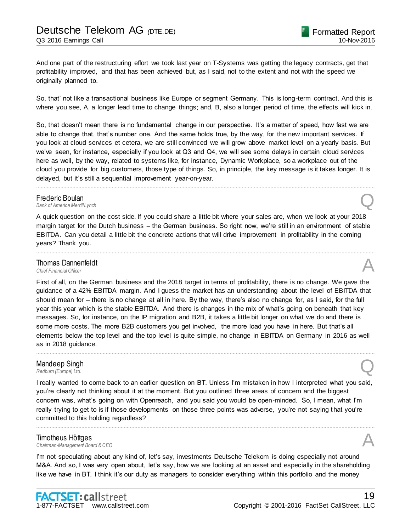So, that' not like a transactional business like Europe or segment Germany. This is long-term contract. And this is where you see, A, a longer lead time to change things; and, B, also a longer period of time, the effects will kick in.

So, that doesn't mean there is no fundamental change in our perspective. It's a matter of speed, how fast we are able to change that, that's number one. And the same holds true, by the way, for the new important services. If you look at cloud services et cetera, we are still convinced we will grow above market level on a yearly basis. But we've seen, for instance, especially if you look at Q3 and Q4, we will see some delays in certain cloud services here as well, by the way, related to systems like, for instance, Dynamic Workplace, so a workplace out of the cloud you provide for big customers, those type of things. So, in principle, the key message is it takes longer. It is delayed, but it's still a sequential improvement year-on-year.

................................................................................................................................................................................................................................

# **Frederic Boulan**<br>Bank of America Merrill Lynch

*Bank of America Merrill Lynch* Q

A quick question on the cost side. If you could share a little bit where your sales are, when we look at your 2018 margin target for the Dutch business – the German business. So right now, we're still in an environment of stable EBITDA. Can you detail a little bit the concrete actions that will drive improvement in profitability in the coming years? Thank you.

................................................................................................................................................................................................................................

# Thomas Dannenfeldt **Thomas Dannenfeldt**<br>
Chief Financial Officer<br> **A**

First of all, on the German business and the 2018 target in terms of profitability, there is no change. We gave the guidance of a 42% EBITDA margin. And I guess the market has an understanding about the level of EBITDA that should mean for – there is no change at all in here. By the way, there's also no change for, as I said, for the full year this year which is the stable EBITDA. And there is changes in the mix of what's going on beneath that key messages. So, for instance, on the IP migration and B2B, it takes a little bit longer on what we do and there is some more costs. The more B2B customers you get involved, the more load you have in here. But that's all elements below the top level and the top level is quite simple, no change in EBITDA on Germany in 2016 as well as in 2018 guidance. ................................................................................................................................................................................................................................

# Mandeep Singh **Mandeep Singh<br>**Redburn (Europe) Ltd.

I really wanted to come back to an earlier question on BT. Unless I'm mistaken in how I interpreted what you said, you're clearly not thinking about it at the moment. But you outlined three areas of concern and the biggest concern was, what's going on with Openreach, and you said you would be open-minded. So, I mean, what I'm really trying to get to is if those developments on those three points was adverse, you're not saying that you're committed to this holding regardless?

................................................................................................................................................................................................................................

### Timotheus Höttges

*Chairman-Management Board & CEO* A

I'm not speculating about any kind of, let's say, investments Deutsche Telekom is doing especially not around M&A. And so, I was very open about, let's say, how we are looking at an asset and especially in the shareholding like we have in BT. I think it's our duty as managers to consider everything within this portfolio and the money

Formatted Report

10-Nov-2016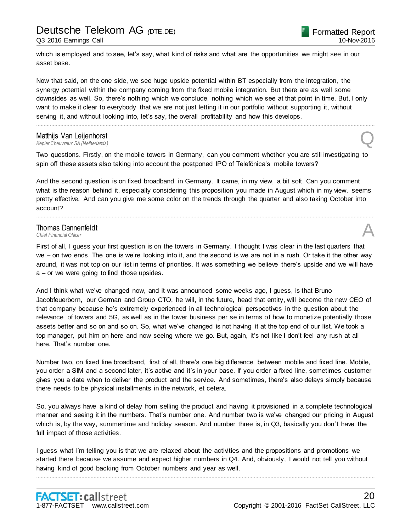which is employed and to see, let's say, what kind of risks and what are the opportunities we might see in our asset base.

Now that said, on the one side, we see huge upside potential within BT especially from the integration, the synergy potential within the company coming from the fixed mobile integration. But there are as well some downsides as well. So, there's nothing which we conclude, nothing which we see at that point in time. But, I only want to make it clear to everybody that we are not just letting it in our portfolio without supporting it, without serving it, and without looking into, let's say, the overall profitability and how this develops.

................................................................................................................................................................................................................................

Matthijs Van Leijenhorst<br>Kepler Cheuvreux SA (Netherlands) *Kepler Cheuvreux SA (Netherlands)* Q

Two questions. Firstly, on the mobile towers in Germany, can you comment whether you are still investigating to spin off these assets also taking into account the postponed IPO of Telefónica's mobile towers?

And the second question is on fixed broadband in Germany. It came, in my view, a bit soft. Can you comment what is the reason behind it, especially considering this proposition you made in August which in my view, seems pretty effective. And can you give me some color on the trends through the quarter and also taking October into account?

................................................................................................................................................................................................................................

# **Thomas Dannenfeldt**<br>Chief Einancial Officer **Thomas Dannenfeldt**<br>
Chief Financial Officer<br> **A**

First of all, I guess your first question is on the towers in Germany. I thought I was clear in the last quarters that we – on two ends. The one is we're looking into it, and the second is we are not in a rush. Or take it the other way around, it was not top on our list in terms of priorities. It was something we believe there's upside and we will have a – or we were going to find those upsides.

And I think what we've changed now, and it was announced some weeks ago, I guess, is that Bruno Jacobfeuerborn, our German and Group CTO, he will, in the future, head that entity, will become the new CEO of that company because he's extremely experienced in all technological perspectives in the question about the relevance of towers and 5G, as well as in the tower business per se in terms of how to monetize potentially those assets better and so on and so on. So, what we've changed is not having it at the top end of our list. We took a top manager, put him on here and now seeing where we go. But, again, it's not like I don't feel any rush at all here. That's number one.

Number two, on fixed line broadband, first of all, there's one big difference between mobile and fixed line. Mobile, you order a SIM and a second later, it's active and it's in your base. If you order a fixed line, sometimes customer gives you a date when to deliver the product and the service. And sometimes, there's also delays simply because there needs to be physical installments in the network, et cetera.

So, you always have a kind of delay from selling the product and having it provisioned in a complete technological manner and seeing it in the numbers. That's number one. And number two is we've changed our pricing in August which is, by the way, summertime and holiday season. And number three is, in Q3, basically you don't have the full impact of those activities.

I guess what I'm telling you is that we are relaxed about the activities and the propositions and promotions we started there because we assume and expect higher numbers in Q4. And, obviously, I would not tell you without having kind of good backing from October numbers and year as well.

................................................................................................................................................................................................................................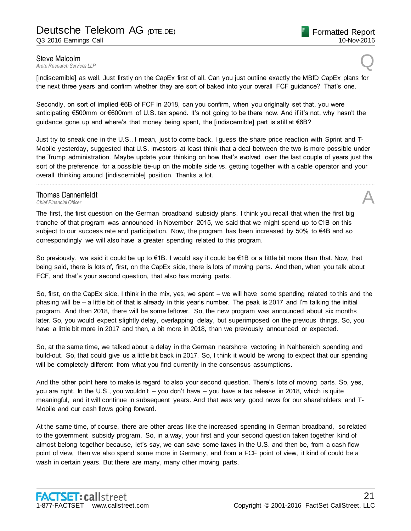**Steve Malcolm**<br>Arete Research Services LLP **Steve Malcolm**<br>Arete Research Services LLP

[indiscernible] as well. Just firstly on the CapEx first of all. Can you just outline exactly the MBfD CapEx plans for the next three years and confirm whether they are sort of baked into your overall FCF guidance? That's one.

Secondly, on sort of implied €6B of FCF in 2018, can you confirm, when you originally set that, you were anticipating €500mm or €600mm of U.S. tax spend. It's not going to be there now. And if it's not, why hasn't the guidance gone up and where's that money being spent, the [indiscernible] part is still at €6B?

Just try to sneak one in the U.S., I mean, just to come back. I guess the share price reaction with Sprint and T-Mobile yesterday, suggested that U.S. investors at least think that a deal between the two is more possible under the Trump administration. Maybe update your thinking on how that's evolved over the last couple of years just the sort of the preference for a possible tie-up on the mobile side vs. getting together with a cable operator and your overall thinking around [indiscernible] position. Thanks a lot.

................................................................................................................................................................................................................................

# **Thomas Dannenfeldt**<br>Chief Financial Officer **Thomas Dannenfeldt**<br>
Chief Financial Officer<br> **A**

The first, the first question on the German broadband subsidy plans. I think you recall that when the first big tranche of that program was announced in November 2015, we said that we might spend up to €1B on this subject to our success rate and participation. Now, the program has been increased by 50% to €4B and so correspondingly we will also have a greater spending related to this program.

So previously, we said it could be up to €1B. I would say it could be €1B or a little bit more than that. Now, that being said, there is lots of, first, on the CapEx side, there is lots of moving parts. And then, when you talk about FCF, and that's your second question, that also has moving parts.

So, first, on the CapEx side, I think in the mix, yes, we spent – we will have some spending related to this and the phasing will be – a little bit of that is already in this year's number. The peak is 2017 and I'm talking the initial program. And then 2018, there will be some leftover. So, the new program was announced about six months later. So, you would expect slightly delay, overlapping delay, but superimposed on the previous things. So, you have a little bit more in 2017 and then, a bit more in 2018, than we previously announced or expected.

So, at the same time, we talked about a delay in the German nearshore vectoring in Nahbereich spending and build-out. So, that could give us a little bit back in 2017. So, I think it would be wrong to expect that our spending will be completely different from what you find currently in the consensus assumptions.

And the other point here to make is regard to also your second question. There's lots of moving parts. So, yes, you are right. In the U.S., you wouldn't – you don't have – you have a tax release in 2018, which is quite meaningful, and it will continue in subsequent years. And that was very good news for our shareholders and T-Mobile and our cash flows going forward.

At the same time, of course, there are other areas like the increased spending in German broadband, so related to the government subsidy program. So, in a way, your first and your second question taken together kind of almost belong together because, let's say, we can save some taxes in the U.S. and then be, from a cash flow point of view, then we also spend some more in Germany, and from a FCF point of view, it kind of could be a wash in certain years. But there are many, many other moving parts.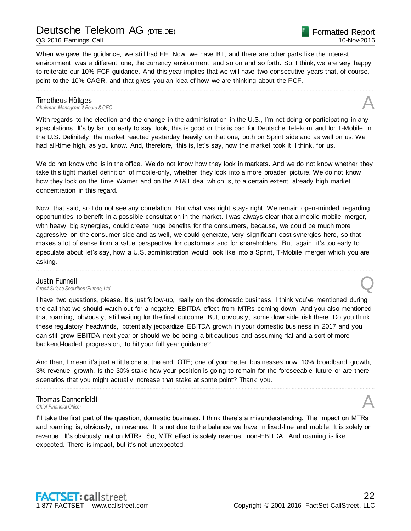Q3 2016 Earnings Call

When we gave the guidance, we still had EE. Now, we have BT, and there are other parts like the interest environment was a different one, the currency environment and so on and so forth. So, I think, we are very happy to reiterate our 10% FCF guidance. And this year implies that we will have two consecutive years that, of course, point to the 10% CAGR, and that gives you an idea of how we are thinking about the FCF.

................................................................................................................................................................................................................................

**Timotheus Höttges**<br>Chairman-Management Board & CEO *Chairman-Management Board & CEO* A

With regards to the election and the change in the administration in the U.S., I'm not doing or participating in any speculations. It's by far too early to say, look, this is good or this is bad for Deutsche Telekom and for T-Mobile in the U.S. Definitely, the market reacted yesterday heavily on that one, both on Sprint side and as well on us. We had all-time high, as you know. And, therefore, this is, let's say, how the market took it, I think, for us.

We do not know who is in the office. We do not know how they look in markets. And we do not know whether they take this tight market definition of mobile-only, whether they look into a more broader picture. We do not know how they look on the Time Warner and on the AT&T deal which is, to a certain extent, already high market concentration in this regard.

Now, that said, so I do not see any correlation. But what was right stays right. We remain open-minded regarding opportunities to benefit in a possible consultation in the market. I was always clear that a mobile-mobile merger, with heavy big synergies, could create huge benefits for the consumers, because, we could be much more aggressive on the consumer side and as well, we could generate, very significant cost synergies here, so that makes a lot of sense from a value perspective for customers and for shareholders. But, again, it's too early to speculate about let's say, how a U.S. administration would look like into a Sprint, T-Mobile merger which you are asking.

................................................................................................................................................................................................................................

# Justin Funnell *Credit Suisse Securities (Europe) Ltd.* Q

I have two questions, please. It's just follow-up, really on the domestic business. I think you've mentioned during the call that we should watch out for a negative EBITDA effect from MTRs coming down. And you also mentioned that roaming, obviously, still waiting for the final outcome. But, obviously, some downside risk there. Do you think these regulatory headwinds, potentially jeopardize EBITDA growth in your domestic business in 2017 and you can still grow EBITDA next year or should we be being a bit cautious and assuming flat and a sort of more backend-loaded progression, to hit your full year guidance?

And then, I mean it's just a little one at the end, OTE; one of your better businesses now, 10% broadband growth, 3% revenue growth. Is the 30% stake how your position is going to remain for the foreseeable future or are there scenarios that you might actually increase that stake at some point? Thank you.

................................................................................................................................................................................................................................

# Thomas Dannenfeldt **Thomas Dannenfeldt**<br>
Chief Financial Officer<br> **A**

I'll take the first part of the question, domestic business. I think there's a misunderstanding. The impact on MTRs and roaming is, obviously, on revenue. It is not due to the balance we have in fixed-line and mobile. It is solely on revenue. It's obviously not on MTRs. So, MTR effect is solely revenue, non-EBITDA. And roaming is like expected. There is impact, but it's not unexpected.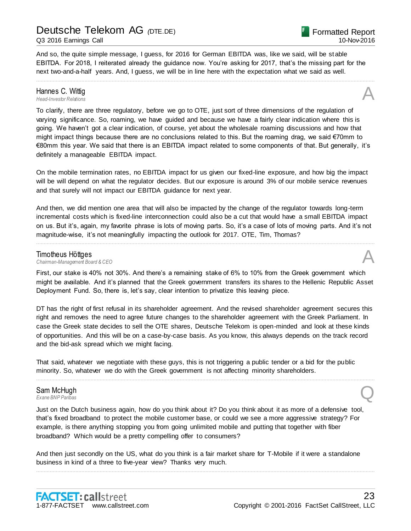### Q3 2016 Earnings Call

And so, the quite simple message, I guess, for 2016 for German EBITDA was, like we said, will be st able EBITDA. For 2018, I reiterated already the guidance now. You're asking for 2017, that's the missing part for the next two-and-a-half years. And, I guess, we will be in line here with the expectation what we said as well.

................................................................................................................................................................................................................................

# Hannes C. Wittig<br>Head-Investor Relations *Head-Investor Relations* A

To clarify, there are three regulatory, before we go to OTE, just sort of three dimensions of the regulation of varying significance. So, roaming, we have guided and because we have a fairly clear indication where this is going. We haven't got a clear indication, of course, yet about the wholesale roaming discussions and how that might impact things because there are no conclusions related to this. But the roaming drag, we said €70mm to €80mm this year. We said that there is an EBITDA impact related to some components of that. But generally, it's definitely a manageable EBITDA impact.

On the mobile termination rates, no EBITDA impact for us given our fixed-line exposure, and how big the impact will be will depend on what the regulator decides. But our exposure is around 3% of our mobile service revenues and that surely will not impact our EBITDA guidance for next year.

And then, we did mention one area that will also be impacted by the change of the regulator towards long-term incremental costs which is fixed-line interconnection could also be a cut that would have a small EBITDA impact on us. But it's, again, my favorite phrase is lots of moving parts. So, it's a case of lots of moving parts. And it's not magnitude-wise, it's not meaningfully impacting the outlook for 2017. OTE, Tim, Thomas?

................................................................................................................................................................................................................................

**Timotheus Höttges**<br>Chairman-Management Board & CEO *Chairman-Management Board & CEO* A

First, our stake is 40% not 30%. And there's a remaining stake of 6% to 10% from the Greek government which might be available. And it's planned that the Greek government transfers its shares to the Hellenic Republic Asset Deployment Fund. So, there is, let's say, clear intention to privatize this leaving piece.

DT has the right of first refusal in its shareholder agreement. And the revised shareholder agreement secures this right and removes the need to agree future changes to the shareholder agreement with the Greek Parliament. In case the Greek state decides to sell the OTE shares, Deutsche Telekom is open-minded and look at these kinds of opportunities. And this will be on a case-by-case basis. As you know, this always depends on the track record and the bid-ask spread which we might facing.

................................................................................................................................................................................................................................

That said, whatever we negotiate with these guys, this is not triggering a public tender or a bid for the public minority. So, whatever we do with the Greek government is not affecting minority shareholders.

# Sam McHugh *Exane BNP Paribas* Q

Just on the Dutch business again, how do you think about it? Do you think about it as more of a defensive tool, that's fixed broadband to protect the mobile customer base, or could we see a more aggressive strategy? For example, is there anything stopping you from going unlimited mobile and putting that together with fiber broadband? Which would be a pretty compelling offer to consumers?

And then just secondly on the US, what do you think is a fair market share for T-Mobile if it were a standalone business in kind of a three to five-year view? Thanks very much.

................................................................................................................................................................................................................................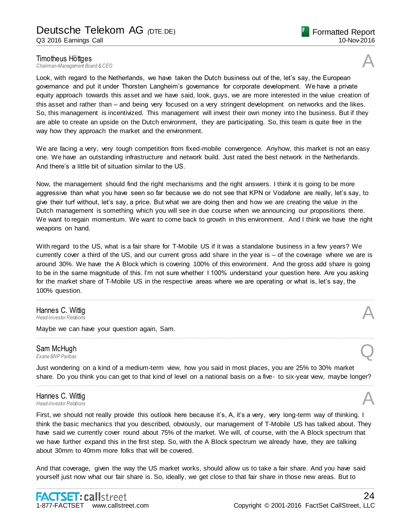**Timotheus Höttges**<br>Chairman-Management Board & CEO *Chairman-Management Board & CEO* A

Look, with regard to the Netherlands, we have taken the Dutch business out of the, let's say, the European governance and put it under Thorsten Langheim's governance for corporate development. We have a private equity approach towards this asset and we have said, look, guys, we are more interested in the value creation of this asset and rather than – and being very focused on a very stringent development on networks and the likes. So, this management is incentivized. This management will invest their own money into the business. But if they are able to create an upside on the Dutch environment, they are participating. So, this team is quite free in the way how they approach the market and the environment.

We are facing a very, very tough competition from fixed-mobile convergence. Anyhow, this market is not an easy one. We have an outstanding infrastructure and network build. Just rated the best network in the Netherlands. And there's a little bit of situation similar to the US.

Now, the management should find the right mechanisms and the right answers. I think it is going to be more aggressive than what you have seen so far because we do not see that KPN or Vodafone are really, let's say, to give their turf without, let's say, a price. But what we are doing then and how we are creating the value in the Dutch management is something which you will see in due course when we announcing our propositions there. We want to regain momentum. We want to come back to growth in this environment. And I think we have the right weapons on hand.

With regard to the US, what is a fair share for T-Mobile US if it was a standalone business in a few years? We currently cover a third of the US, and our current gross add share in the year is – of the coverage where we are is around 30%. We have the A Block which is covering 100% of this environment. And the gross add share is going to be in the same magnitude of this. I'm not sure whether I 100% understand your question here. Are you asking for the market share of T-Mobile US in the respective areas where we are operating or what is, let's say, the 100% question.

................................................................................................................................................................................................................................

................................................................................................................................................................................................................................

Hannes C. Wittig *Head-Investor Relations* A

Maybe we can have your question again, Sam.

# Sam McHugh *Exane BNP Paribas* Q

Just wondering on a kind of a medium-term view, how you said in most places, you are 25% to 30% market share. Do you think you can get to that kind of level on a national basis on a five- to six-year view, maybe longer? ................................................................................................................................................................................................................................

# Hannes C. Wittig *Head-Investor Relations* A

First, we should not really provide this outlook here because it's, A, it's a very, very long-term way of thinking. I think the basic mechanics that you described, obviously, our management of T-Mobile US has talked about. They have said we currently cover round about 75% of the market. We will, of course, with the A Block spectrum that we have further expand this in the first step. So, with the A Block spectrum we already have, they are talking about 30mm to 40mm more folks that will be covered.

And that coverage, given the way the US market works, should allow us to take a fair share. And you have said yourself just now what our fair share is. So, ideally, we get close to that fair share in those new areas. But to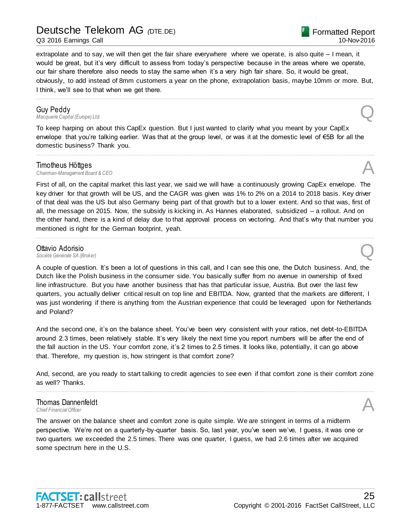Q3 2016 Earnings Call

Formatted Report 10-Nov-2016

extrapolate and to say, we will then get the fair share everywhere where we operate, is also quite – I mean, it would be great, but it's very difficult to assess from today's perspective because in the areas where we operate, our fair share therefore also needs to stay the same when it's a very high fair share. So, it would be great, obviously, to add instead of 8mm customers a year on the phone, extrapolation basis, maybe 10mm or more. But, I think, we'll see to that when we get there.

................................................................................................................................................................................................................................

**Guy Peddy**<br>Macquarie Capital (Europe) Ltd. *Macquarie Capital (Europe) Ltd.* Q

To keep harping on about this CapEx question. But I just wanted to clarify what you meant by your CapEx envelope that you're talking earlier. Was that at the group level, or was it at the domestic level of €5B for all the domestic business? Thank you.

................................................................................................................................................................................................................................

### Timotheus Höttges

*Chairman-Management Board & CEO* A

First of all, on the capital market this last year, we said we will have a continuously growing CapEx envelope. The key driver for that growth will be US, and the CAGR was given was 1% to 2% on a 2014 to 2018 basis. Key driver of that deal was the US but also Germany being part of that growth but to a lower extent. And so that was, first of all, the message on 2015. Now, the subsidy is kicking in. As Hannes elaborated, subsidized – a rollout. And on the other hand, there is a kind of delay due to that approval process on vectoring. And that's why that number you mentioned is right for the German footprint, yeah.

................................................................................................................................................................................................................................

# **Ottavio Adorisio**<br>Société Générale SA (Broker) **Ottavio Adorisio**<br>Société Générale SA (Broker)

A couple of question. It's been a lot of questions in this call, and I can see this one, the Dutch business. And, the Dutch like the Polish business in the consumer side. You basically suffer from no avenue in ownership of fixed line infrastructure. But you have another business that has that particular issue, Austria. But over the last few quarters, you actually deliver critical result on top line and EBITDA. Now, granted that the markets are different, I was just wondering if there is anything from the Austrian experience that could be leveraged upon for Netherlands and Poland?

And the second one, it's on the balance sheet. You've been very consistent with your ratios, net debt-to-EBITDA around 2.3 times, been relatively stable. It's very likely the next time you report numbers will be after the end of the fall auction in the US. Your comfort zone, it's 2 times to 2.5 times. It looks like, potentially, it can go above that. Therefore, my question is, how stringent is that comfort zone?

And, second, are you ready to start talking to credit agencies to see even if that comfort zone is their comfort zone as well? Thanks. ................................................................................................................................................................................................................................

# Thomas Dannenfeldt **Thomas Dannenfeldt**<br>
Chief Financial Officer<br> **A**

The answer on the balance sheet and comfort zone is quite simple. We are stringent in terms of a midterm perspective. We're not on a quarterly-by-quarter basis. So, last year, you've seen we've, I guess, it was one or two quarters we exceeded the 2.5 times. There was one quarter, I guess, we had 2.6 times after we acquired some spectrum here in the U.S.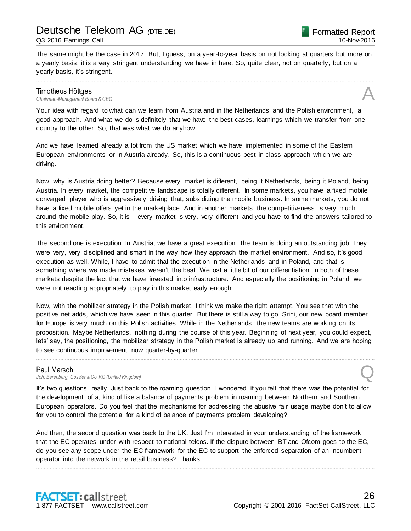The same might be the case in 2017. But, I guess, on a year-to-year basis on not looking at quarters but more on a yearly basis, it is a very stringent understanding we have in here. So, quite clear, not on quarterly, but on a yearly basis, it's stringent.

................................................................................................................................................................................................................................

# **Timotheus Höttges**<br>Chairman-Management Board & CEO *Chairman-Management Board & CEO* A

Your idea with regard to what can we learn from Austria and in the Netherlands and the Polish environment, a good approach. And what we do is definitely that we have the best cases, learnings which we transfer from one country to the other. So, that was what we do anyhow.

And we have learned already a lot from the US market which we have implemented in some of the Eastern European environments or in Austria already. So, this is a continuous best-in-class approach which we are driving.

Now, why is Austria doing better? Because every market is different, being it Netherlands, being it Poland, being Austria. In every market, the competitive landscape is totally different. In some markets, you have a fixed mobile converged player who is aggressively driving that, subsidizing the mobile business. In some markets, you do not have a fixed mobile offers yet in the marketplace. And in another markets, the competitiveness is very much around the mobile play. So, it is – every market is very, very different and you have to find the answers tailored to this environment.

The second one is execution. In Austria, we have a great execution. The team is doing an outstanding job. They were very, very disciplined and smart in the way how they approach the market environment. And so, it's good execution as well. While, I have to admit that the execution in the Netherlands and in Poland, and that is something where we made mistakes, weren't the best. We lost a little bit of our differentiation in both of these markets despite the fact that we have invested into infrastructure. And especially the positioning in Poland, we were not reacting appropriately to play in this market early enough.

Now, with the mobilizer strategy in the Polish market, I think we make the right attempt. You see that with the positive net adds, which we have seen in this quarter. But there is still a way to go. Srini, our new board member for Europe is very much on this Polish activities. While in the Netherlands, the new teams are working on its proposition. Maybe Netherlands, nothing during the course of this year. Beginning of next year, you could expect, lets' say, the positioning, the mobilizer strategy in the Polish market is already up and running. And we are hoping to see continuous improvement now quarter-by-quarter.

................................................................................................................................................................................................................................

### Paul Marsch

Joh. Berenberg, Gossler & Co. KG (United Kingdom)

It's two questions, really. Just back to the roaming question. I wondered if you felt that there was the potential for the development of a, kind of like a balance of payments problem in roaming between Northern and Southern European operators. Do you feel that the mechanisms for addressing the abusive fair usage maybe don't to allow for you to control the potential for a kind of balance of payments problem developing?

And then, the second question was back to the UK. Just I'm interested in your understanding of the framework that the EC operates under with respect to national telcos. If the dispute between BT and Ofcom goes to the EC, do you see any scope under the EC framework for the EC to support the enforced separation of an incumbent operator into the network in the retail business? Thanks.

................................................................................................................................................................................................................................